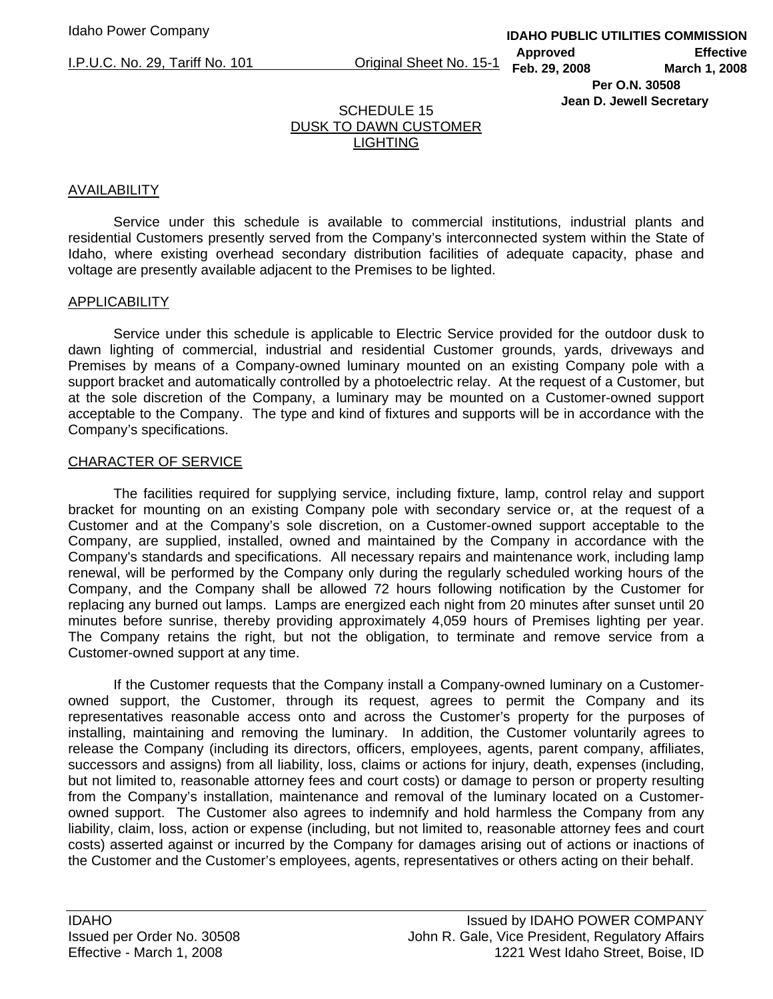I.P.U.C. No. 29, Tariff No. 101 Original Sheet No. 15-1

## **IDAHO PUBLIC UTILITIES COMMISSION Approved Effective Feb. 29, 2008 March 1, 2008 Per O.N. 30508 Jean D. Jewell Secretary**

# SCHEDULE 15 DUSK TO DAWN CUSTOMER **LIGHTING**

## AVAILABILITY

 Service under this schedule is available to commercial institutions, industrial plants and residential Customers presently served from the Company's interconnected system within the State of Idaho, where existing overhead secondary distribution facilities of adequate capacity, phase and voltage are presently available adjacent to the Premises to be lighted.

## **APPLICABILITY**

 Service under this schedule is applicable to Electric Service provided for the outdoor dusk to dawn lighting of commercial, industrial and residential Customer grounds, yards, driveways and Premises by means of a Company-owned luminary mounted on an existing Company pole with a support bracket and automatically controlled by a photoelectric relay. At the request of a Customer, but at the sole discretion of the Company, a luminary may be mounted on a Customer-owned support acceptable to the Company. The type and kind of fixtures and supports will be in accordance with the Company's specifications.

## CHARACTER OF SERVICE

 The facilities required for supplying service, including fixture, lamp, control relay and support bracket for mounting on an existing Company pole with secondary service or, at the request of a Customer and at the Company's sole discretion, on a Customer-owned support acceptable to the Company, are supplied, installed, owned and maintained by the Company in accordance with the Company's standards and specifications. All necessary repairs and maintenance work, including lamp renewal, will be performed by the Company only during the regularly scheduled working hours of the Company, and the Company shall be allowed 72 hours following notification by the Customer for replacing any burned out lamps. Lamps are energized each night from 20 minutes after sunset until 20 minutes before sunrise, thereby providing approximately 4,059 hours of Premises lighting per year. The Company retains the right, but not the obligation, to terminate and remove service from a Customer-owned support at any time.

 If the Customer requests that the Company install a Company-owned luminary on a Customerowned support, the Customer, through its request, agrees to permit the Company and its representatives reasonable access onto and across the Customer's property for the purposes of installing, maintaining and removing the luminary. In addition, the Customer voluntarily agrees to release the Company (including its directors, officers, employees, agents, parent company, affiliates, successors and assigns) from all liability, loss, claims or actions for injury, death, expenses (including, but not limited to, reasonable attorney fees and court costs) or damage to person or property resulting from the Company's installation, maintenance and removal of the luminary located on a Customerowned support. The Customer also agrees to indemnify and hold harmless the Company from any liability, claim, loss, action or expense (including, but not limited to, reasonable attorney fees and court costs) asserted against or incurred by the Company for damages arising out of actions or inactions of the Customer and the Customer's employees, agents, representatives or others acting on their behalf.